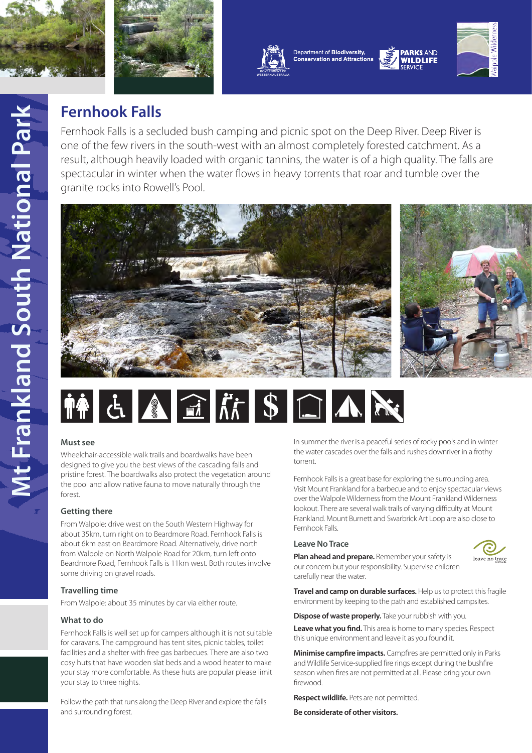





Department of Biodiversity, **Conservation and Attractions** 



**PARKS AND** 

**WILDLIFF** 

# **Fernhook Falls**

Fernhook Falls is a secluded bush camping and picnic spot on the Deep River. Deep River is one of the few rivers in the south-west with an almost completely forested catchment. As a result, although heavily loaded with organic tannins, the water is of a high quality. The falls are spectacular in winter when the water flows in heavy torrents that roar and tumble over the granite rocks into Rowell's Pool.





# **Must see**

Wheelchair-accessible walk trails and boardwalks have been designed to give you the best views of the cascading falls and pristine forest. The boardwalks also protect the vegetation around the pool and allow native fauna to move naturally through the forest.

# **Getting there**

From Walpole: drive west on the South Western Highway for about 35km, turn right on to Beardmore Road. Fernhook Falls is about 6km east on Beardmore Road. Alternatively, drive north from Walpole on North Walpole Road for 20km, turn left onto Beardmore Road, Fernhook Falls is 11km west. Both routes involve some driving on gravel roads.

# **Travelling time**

From Walpole: about 35 minutes by car via either route.

#### **What to do**

Fernhook Falls is well set up for campers although it is not suitable for caravans. The campground has tent sites, picnic tables, toilet facilities and a shelter with free gas barbecues. There are also two cosy huts that have wooden slat beds and a wood heater to make your stay more comfortable. As these huts are popular please limit your stay to three nights.

Follow the path that runs along the Deep River and explore the falls and surrounding forest.

In summer the river is a peaceful series of rocky pools and in winter the water cascades over the falls and rushes downriver in a frothy torrent.

Fernhook Falls is a great base for exploring the surrounding area. Visit Mount Frankland for a barbecue and to enjoy spectacular views over the Walpole Wilderness from the Mount Frankland Wilderness lookout. There are several walk trails of varying difficulty at Mount Frankland. Mount Burnett and Swarbrick Art Loop are also close to Fernhook Falls.

# **Leave No Trace**



**Plan ahead and prepare.** Remember your safety is our concern but your responsibility. Supervise children carefully near the water.

**Travel and camp on durable surfaces.** Help us to protect this fragile environment by keeping to the path and established campsites.

**Dispose of waste properly.** Take your rubbish with you. **Leave what you find.** This area is home to many species. Respect this unique environment and leave it as you found it.

**Minimise campfire impacts.** Campfires are permitted only in Parks and Wildlife Service-supplied fire rings except during the bushfire season when fires are not permitted at all. Please bring your own firewood.

**Respect wildlife.** Pets are not permitted.

**Be considerate of other visitors.**